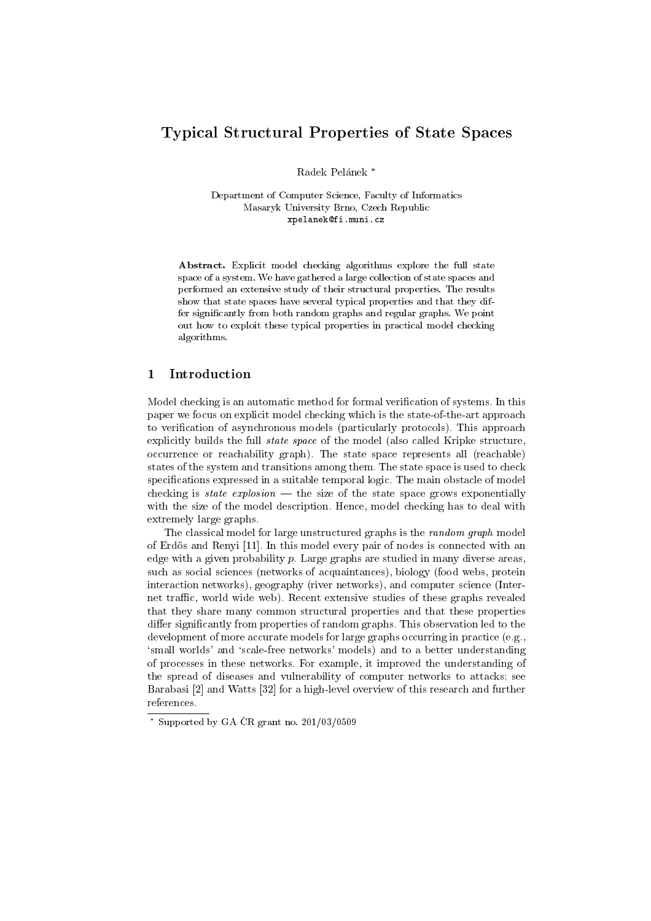# Typical Structural Properties of State Spaces

Radek Pelánek<sup>\*</sup>

Department of Computer Science, Faculty of Informatics Masaryk University Brno, Czech Republic xpelanek@fi.muni.cz

Abstract. Explicit model checking algorithms explore the full state space of a system. We have gathered a large collection of state spaces and performed an extensive study of their structural properties. The results show that state spaces have several typical properties and that they differ signicantly from both random graphs and regular graphs. We point out how to exploit these typical properties in practical model checking algorithms.

#### **Introduction**  $\mathbf 1$

Model checking is an automatic method for formal verification of systems. In this paper we focus on explicit model checking which is the state-of-the-art approach to verification of asynchronous models (particularly protocols). This approach explicitly builds the full state space of the model (also called Kripke structure, occurrence or reachability graph). The state space represents all (reachable) states of the system and transitions among them. The state space is used to check specifications expressed in a suitable temporal logic. The main obstacle of model checking is *state explosion* — the size of the state space grows exponentially with the size of the model description. Hence, model checking has to deal with extremely large graphs.

The classical model for large unstructured graphs is the random graph model of Erdős and Renyi [11]. In this model every pair of nodes is connected with an edge with a given probability  $p$ . Large graphs are studied in many diverse areas, such as social sciences (networks of acquaintances), biology (food webs, protein interaction networks), geography (river networks), and computer science (Internet traffic, world wide web). Recent extensive studies of these graphs revealed that they share many common structural properties and that these properties differ significantly from properties of random graphs. This observation led to the development of more accurate models for large graphs occurring in practice (e.g., `small worlds' and `scale-free networks' models) and to a better understanding of processes in these networks. For example, it improved the understanding of the spread of diseases and vulnerability of computer networks to attacks; see Barabasi [2] and Watts [32] for a high-level overview of this research and further references.

 $\degree$  Supported by GA CR grant no. 201/03/0509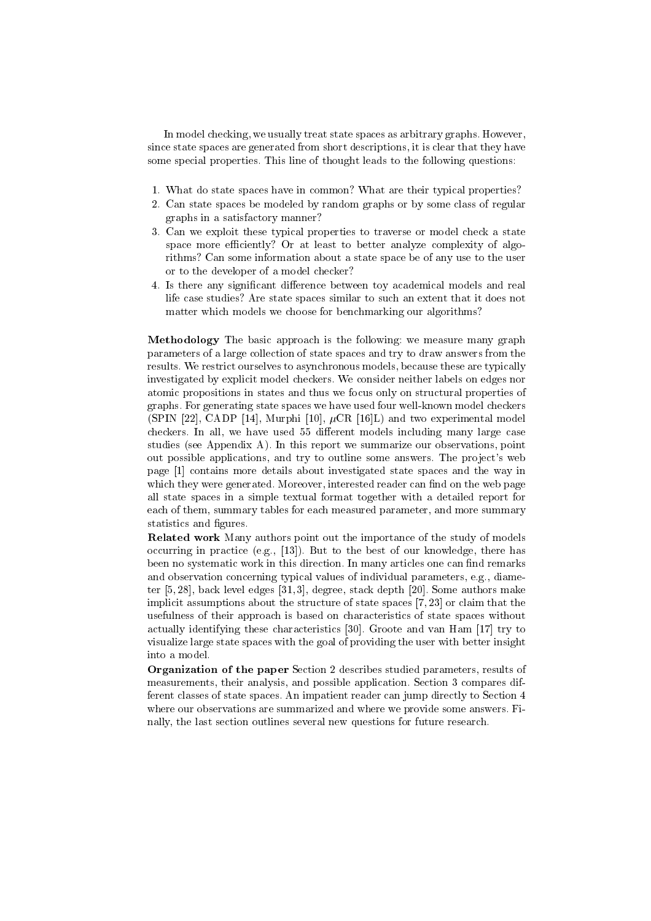In model checking, we usually treat state spaces as arbitrary graphs. However, since state spaces are generated from short descriptions, it is clear that they have some special properties. This line of thought leads to the following questions:

- 1. What do state spaces have in common? What are their typical properties?
- 2. Can state spaces be modeled by random graphs or by some class of regular graphs in a satisfactory manner?
- 3. Can we exploit these typical properties to traverse or model check a state space more efficiently? Or at least to better analyze complexity of algorithms? Can some information about a state space be of any use to the user or to the developer of a model checker?
- 4. Is there any significant difference between toy academical models and real life case studies? Are state spaces similar to such an extent that it does not matter which models we choose for benchmarking our algorithms?

Methodology The basic approach isthe following: we measure many graph parameters of a large collection of state spaces and try to draw answers from the results. We restrict ourselves to asynchronous models, because these are typically investigated by explicit model checkers. We consider neither labels on edges nor atomic propositions in states and thus we focus only on structural properties of graphs. For generating state spaces we have used four well-known model checkers (SPIN [22], CADP [14], Murphi [10],  $\mu$ CR [16]L) and two experimental model checkers. In all, we have used 55 different models including many large case studies (see Appendix A). In this report we summarize our observations, point out possible applications, and try to outline some answers. The project's web page [1] contains more details about investigated state spaces and the way in which they were generated. Moreover, interested reader can find on the web page all state spaces in a simple textual format together with a detailed report for each of them, summary tables for each measured parameter, and more summary statistics and figures.

 $R$  and  $R$  and  $R$  and  $R$  are interested work of the study of the study of  $R$  interests and study of  $R$  and  $R$  interests are interesting of  $R$  interests and  $R$  interests are interests and  $R$  interests are interest occurring in practice (e.g., [13]). But to the best of our knowledge, there has been no systematic work in this direction. In many articles one can find remarks and observation concerning typical values of individual parameters, e.g., diameter [5, 28], back level edges [31, 3], degree, stack depth [20]. Some authors make implicit assumptions about the structure of state spaces [7, 23] or claim that the usefulness of their approach is based on characteristics of state spaces without actually identifying these characteristics [30]. Groote and van Ham [17] try to visualize large state spaces with the goal of providing the user with better insight into a model.

Organization of the paper Section 2 describes studied parameters, results of measurements, their analysis, and possible application. Section 3 compares different classes of state spaces. An impatient reader can jump directly to Section 4 where our observations are summarized and where we provide some answers. Finally, the last section outlines several new questions for future research.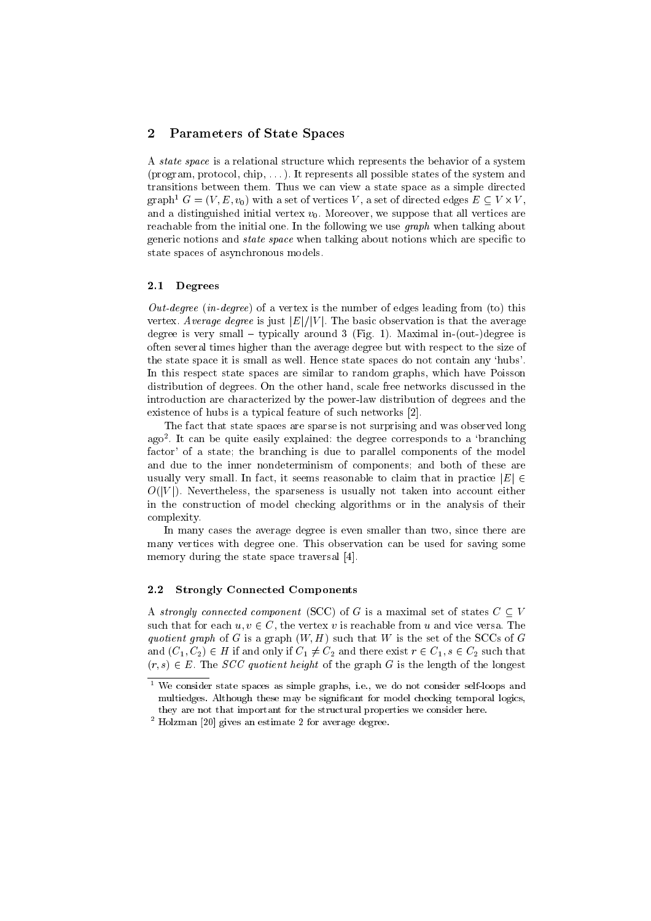# 2 Parameters of State Spaces

A *state space* is a relational structure which represents the behavior of a system (program, protocol, chip, . . . ). It represents all possible states of the system and transitions between them. Thus we can view a state space as a simple directed  $graph<sup>1</sup> G = (V, E, v<sub>0</sub>)$  with a set of vertices V, a set of directed edges  $E \subset V \times V$ , and a distinguished initial vertex  $v_0$ . Moreover, we suppose that all vertices are reachable from the initial one. In the following we use graph when talking about generic notions and *state space* when talking about notions which are specific to state spaces of asynchronous models.

### 2.1 Dec 2.1 Dec 2.1 Dec 2.1 Dec 2.1 Dec 2.1 Dec 2.1 Dec 2.1 Dec 2.1 Dec 2.1 Dec 2.1 Dec 2.1 Dec 2.1 Dec 2.1 De

Out-degree (in-degree) of a vertex is the number of edges leading from (to) this vertex. Average degree is just  $|E|/|V|$ . The basic observation is that the average degree is very small  $-$  typically around 3 (Fig. 1). Maximal in-(out-)degree is often several times higher than the average degree but with respect to the size of the state space it is small as well. Hence state spaces do not contain any `hubs'. In this respect state spaces are similar to random graphs, which have Poisson distribution of degrees. On the other hand, scale free networks discussed in the introduction are characterized by the power-law distribution of degrees and the existence of hubs is a typical feature of such networks [2].

The fact that state spaces are sparse is not surprising and was observed long ago . It can be quite easily explained: the degree corresponds to a `branching factor' of a state; the branching is due to parallel components of the model and due to the inner nondeterminism of components; and both of these are usually very small. In fact, it seems reasonable to claim that in practice  $|E| \in$  $O(|V|)$ . Nevertheless, the sparseness is usually not taken into account either in the construction of model checking algorithms or in the analysis of their complexity.

In many cases the average degree is even smaller than two, since there are many vertices with degree one. This observation can be used for saving some memory during the state space traversal [4].

#### 2.2Strongly Connected Components

A strongly connected component (SCC) of G is a maximal set of states  $C \subseteq V$ such that for each  $u, v \in C$ , the vertex v is reachable from u and vice versa. The quotient graph of G is a graph  $(W, H)$  such that W is the set of the SCCs of G and  $(C_1, C_2) \in H$  if and only if  $C_1 \neq C_2$  and there exist  $r \in C_1$ ,  $s \in C_2$  such that  $(r, s) \in E$ . The *SCC quotient height* of the graph G is the length of the longest

<sup>1</sup> We consider state spaces as simple graphs, i.e., we do not consider self-loops and multiedges. Although these may be signicant for model checking temporal logics, they are not that important for the structural properties we consider here.

<sup>2</sup> Holzman [20] gives an estimate 2 for average degree.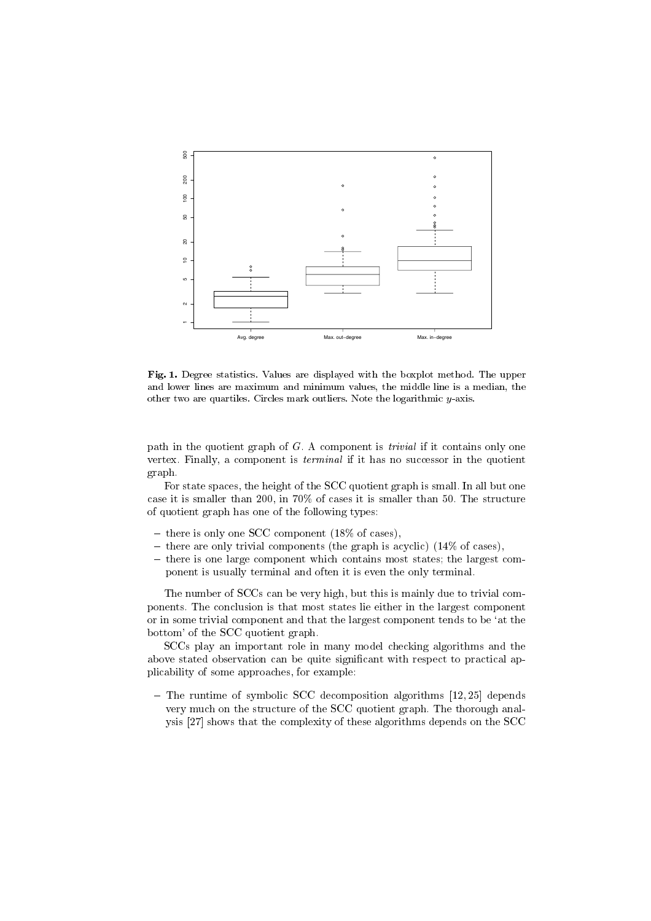

Fig. 1. Degree statistics. Values are displayed with the boxplot method. The upper and lower lines are maximum and minimum values, the middle line is a median, the other two are quartiles. Circles mark outliers. Note the logarithmic  $y$ -axis.

path in the quotient graph of G. A component is trivial if it contains only one vertex. Finally, a component is terminal if it has no successor in the quotient graph.

For state spaces, the height of the SCC quotient graph is small. In all but one case it is smaller than 200, in 70% of cases it is smaller than 50. The structure of quotient graph has one of the following types:

- { there is only one SCC component (18% of cases),
- ${\bf t}$  there are only the the components (the graph is acyclicity) (4.4) of cases),
- { there is one large component which contains most states; the largest component is usually terminal and often it is even the only terminal.

The number of SCCs can be very high, but this is mainly due to trivial components. The conclusion is that most states lie either in the largest component or in some trivial component and that the largest component tends to be `at the bottom' of the SCC quotient graph.

SCCs play an important role in many model checking algorithms and the above stated observation can be quite significant with respect to practical applicability of some approaches, for example:

 $\sim$  runtimes of symbolic SCC decomposition algorithms [12, 25] depends  $\sim$ very much on the structure of the SCC quotient graph. The thorough analysis [27] shows that the complexity of these algorithms depends on the SCC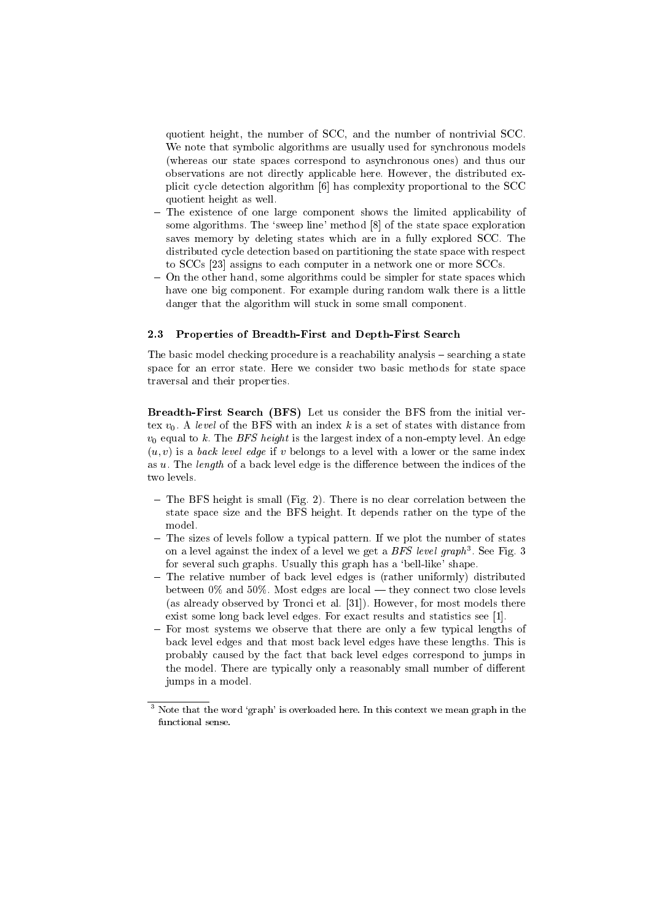quotient height, the number of SCC, and the number of nontrivial SCC. We note that symbolic algorithms are usually used for synchronous models (whereas our state spaces correspond to asynchronous ones) and thus our observations are not directly applicable here. However, the distributed explicit cycle detection algorithm [6] has complexity proportional to the SCC quotient height as well.

- The existence of one large component shows the limited applicability of some algorithms. The 'sweep line' method [8] of the state space exploration saves memory by deleting states which are in a fully explored SCC. The distributed cycle detection based on partitioning the state space with respect to SCCs [23] assigns to each computer in a network one or more SCCs.
- { On the other hand, some algorithms could be simpler for state spaces which have one big component. For example during random walk there is a little danger that the algorithm will stuck in some small component.

### $2.3$  Properties of Dreadth-First and Depth-First Search  $\sim$

The basic model checking procedure is a reachability analysis  $-$  searching a state space for an error state. Here we consider two basic methods for state space traversal and their properties.

Breadth-First Search (BFS) Let us consider the BFS from the initial vertex  $v_0$ . A level of the BFS with an index k is a set of states with distance from  $v_0$  equal to k. The BFS height is the largest index of a non-empty level. An edge  $(u, v)$  is a back level edge if v belongs to a level with a lower or the same index as  $u$ . The *length* of a back level edge is the difference between the indices of the two levels.

- ${\bf T}$  . The BFS height is small (Fig. 2). There is no clear correlation between the correlation between the correlation between  ${\bf T}$ state space size and the BFS height. It depends rather on the type of the model.
- The sizes of levels follow a typical pattern. If we plot the number of states on a level against the index of a level we get a  $D$ FS level  $graph$  . See Fig. 3  $\,$ for several such graphs. Usually this graph has a `bell-like' shape.
- { The relative number of back level edges is (rather uniformly) distributed between  $0\%$  and  $50\%$ . Most edges are local — they connect two close levels (as already observed by Tronci et al. [31]). However, for most models there exist some long back level edges. For exact results and statistics see [1].
- $\overline{a}$  For most systems we observe that there are only a few typical lengths of back level edges and that most back level edges have these lengths. This is probably caused by the fact that back level edges correspond to jumps in the model. There are typically only a reasonably small number of different jumps in a model.

 $\degree$  Note that the word 'graph' is overloaded here. In this context we mean graph in the functional sense.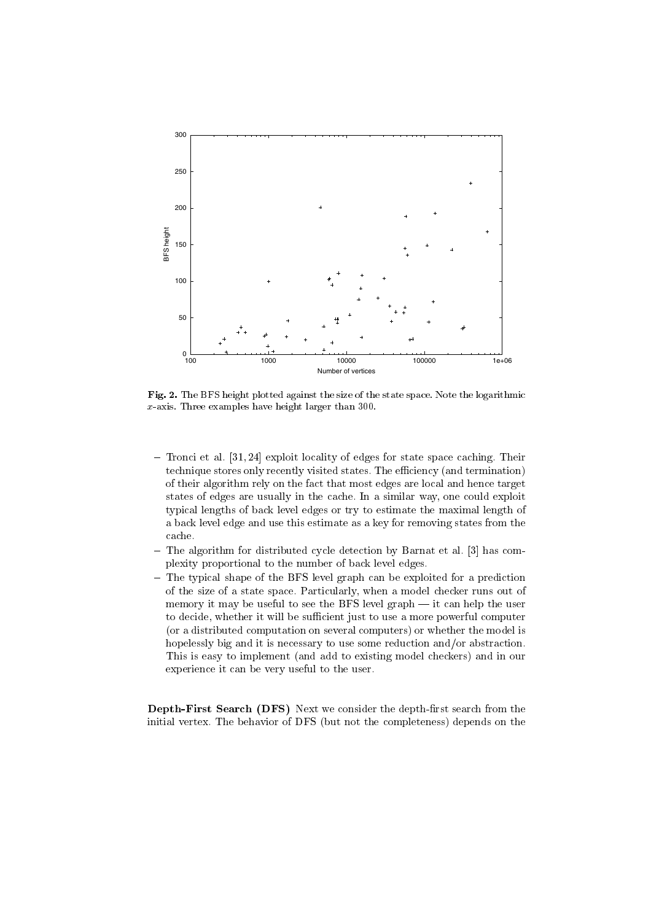

Fig. 2. The BFS height plotted against the size of the state space. Note the logarithmic x-axis. Three examples have height larger than 300.

- $\equiv$  Tronci et al. [31, 24] exploit locality of edges for state space caching. Their technique stores only recently visited states. The efficiency (and termination) of their algorithm rely on the fact that most edges are local and hence target states of edges are usually in the cache. In a similar way, one could exploit typical lengths of back level edges or try to estimate the maximal length of a back level edge and use this estimate as a key for removing states from the cache.
- The algorithm for distributed cycle detection by Barnat et al. [3] has complexity proportional to the number of back level edges.
- The typical shape of the BFS level graph can be exploited for a prediction of the size of a state space. Particularly, when a model checker runs out of memory it may be useful to see the BFS level graph  $-$  it can help the user to decide, whether it will be sufficient just to use a more powerful computer (or a distributed computation on several computers) or whether the model is hopelessly big and it is necessary to use some reduction and/or abstraction. This is easy to implement (and add to existing model checkers) and in our experience it can be very useful to the user.

Depth-First Search (DFS) Next we consider the depth-rst search from the initial vertex. The behavior of DFS (but not the completeness) depends on the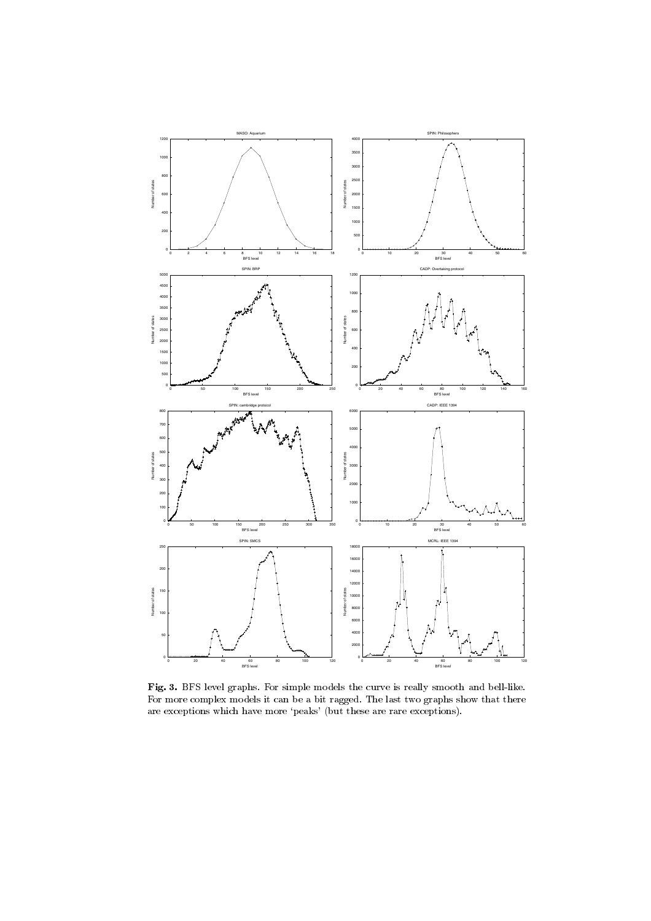

Fig. 3. BFS level graphs. For simple models the curve is really smooth and bell-like. For more complex models it can be a bit ragged. The last two graphs show that there are exceptions which have more 'peaks' (but these are rare exceptions).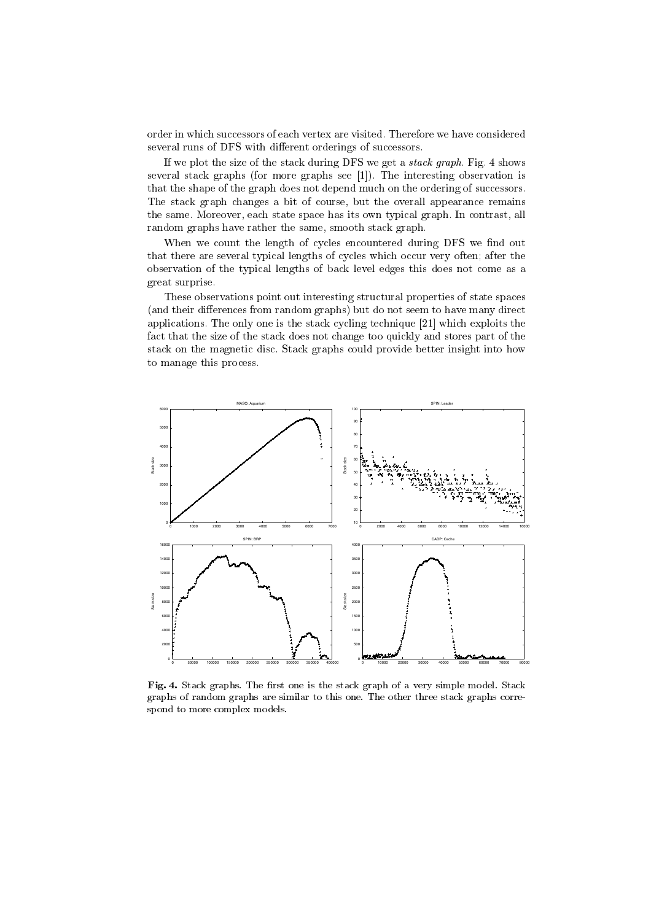order in which successors of each vertex are visited. Therefore we have considered several runs of DFS with different orderings of successors.

If we plot the size of the stack during DFS we get a stack graph. Fig. 4 shows several stack graphs (for more graphs see [1]). The interesting observation is that the shape of the graph does not depend much on the ordering of successors. The stack graph changes a bit of course, but the overall appearance remains the same. Moreover, each state space has its own typical graph. In contrast, all random graphs have rather the same, smooth stack graph.

When we count the length of cycles encountered during DFS we find out that there are several typical lengths of cycles which occur very often; after the observation of the typical lengths of back level edges this does not come as a great surprise.

These observations point out interesting structural properties of state spaces (and their differences from random graphs) but do not seem to have many direct applications. The only one is the stack cycling technique [21] which exploits the fact that the size of the stack does not change too quickly and stores part of the stack on the magnetic disc. Stack graphs could provide better insight into how to manage this process.



Fig. 4. Stack graphs. The first one is the stack graph of a very simple model. Stack graphs of random graphs are similar to this one. The other three stack graphs correspond to more complex models.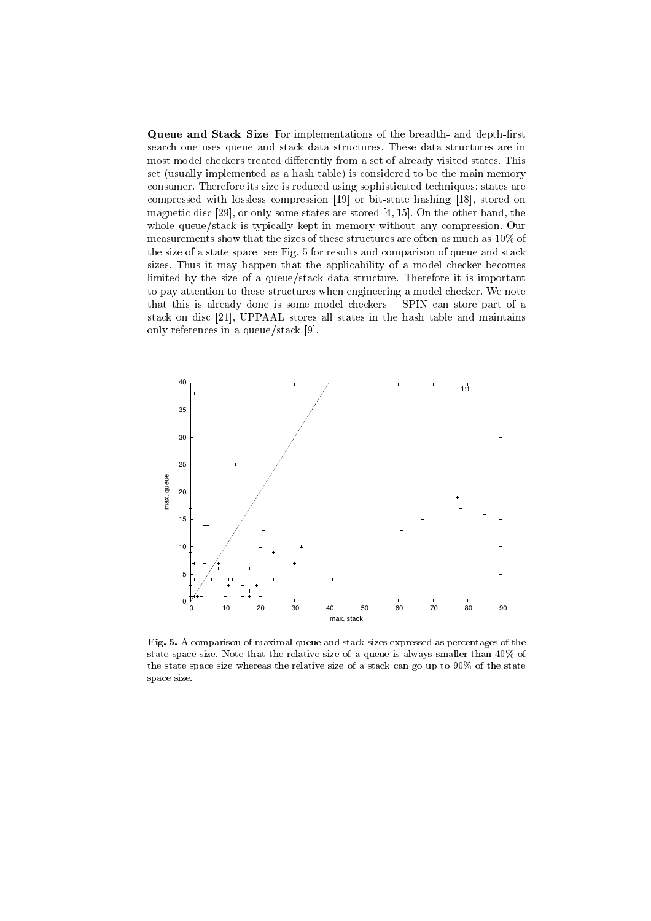queue and Stack Size For implementations of the breadth- and depth- and depthsearch one uses queue and stack data structures. These data structures are in most model checkers treated differently from a set of already visited states. This set (usually implemented as a hash table) is considered to be the main memory consumer. Therefore its size is reduced using sophisticated techniques: states are compressed with lossless compression [19] or bit-state hashing [18], stored on magnetic disc [29], or only some states are stored [4, 15]. On the other hand, the whole queue/stack is typically kept in memory without any compression. Our measurements show that the sizes of these structures are often as much as 10% of the size of a state space; see Fig. 5 for results and comparison of queue and stack sizes. Thus it may happen that the applicability of a model checker becomes limited by the size of a queue/stack data structure. Therefore it is important to pay attention to these structures when engineering a model checker. We note that this is already done is some model checkers  $-$  SPIN can store part of a stack on disc [21], UPPAAL stores all states in the hash table and maintains only references in a queue/stack [9].



Fig. 5. A comparison of maximal queue and stack sizes expressed as percentages of the state space size. Note that the relative size of a queue is always smaller than 40% of the state space size whereas the relative size of a stack can go up to 90% of the state space size.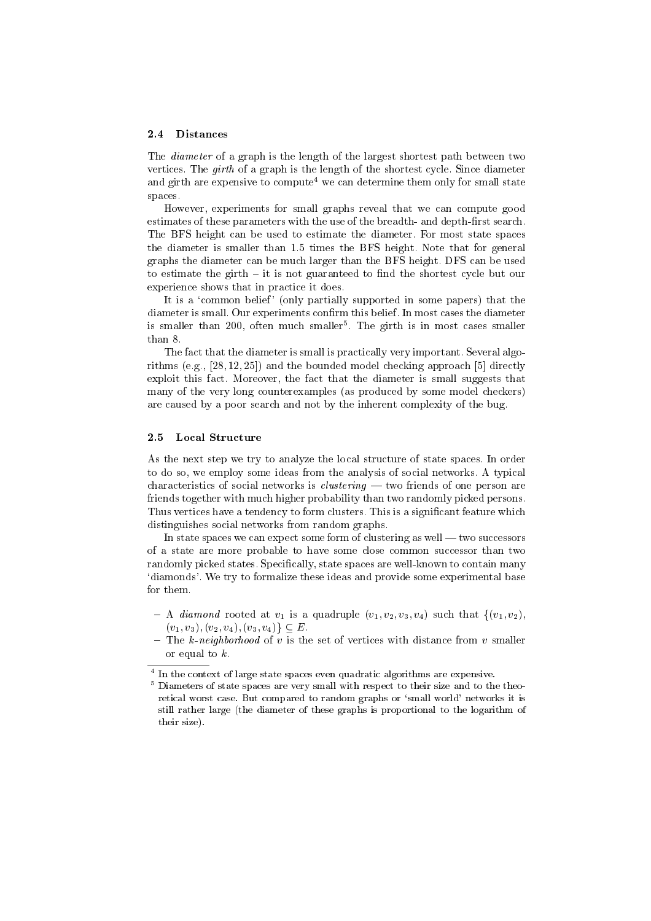#### 2.4Distances

The diameter of a graph is the length of the largest shortest path between two vertices. The girth of a graph is the length of the shortest cycle. Since diameter and girth are expensive to compute<sup>4</sup> we can determine them only for small state spaces.

However, experiments for small graphs reveal that we can compute good estimates of these parameters with the use of the breadth- and depth-first search. The BFS height can be used to estimate the diameter. For most state spaces the diameter is smaller than 1.5 times the BFS height. Note that for general graphs the diameter can be much larger than the BFS height. DFS can be used to estimate the girth  $-$  it is not guaranteed to find the shortest cycle but our experience shows that in practice it does.

It is a 'common belief' (only partially supported in some papers) that the diameter is small. Our experiments confirm this belief. In most cases the diameter is smaller than  $200$ , often much smaller . The girth is in most cases smaller  $\blacksquare$ than 8.

The fact that the diameter is small is practically very important. Several algorithms (e.g., [28, 12, 25]) and the bounded model checking approach [5] directly exploit this fact. Moreover, the fact that the diameter is small suggests that many of the very long counterexamples (as produced by some model checkers) are caused by a poor search and not by the inherent complexity of the bug.

#### 2.5Local Structure

As the next step we try to analyze the local structure of state spaces. In order to do so, we employ some ideas from the analysis of social networks. A typical characteristics of social networks is *clustering*  $-$  two friends of one person are friends together with much higher probability than two randomly picked persons. Thus vertices have a tendency to form clusters. This is a significant feature which distinguishes social networks from random graphs.

In state spaces we can expect some form of clustering as well  $-$  two successors of a state are more probable to have some close common successor than two randomly picked states. Specifically, state spaces are well-known to contain many `diamonds'. We try to formalize these ideas and provide some experimental base for them.

- ${ A}$  diamond rooted at  $v_1$  is a quadruple  $(v_1, v_2, v_3, v_4)$  such that  $\{(v_1, v_2),$  $(v_1, v_3), (v_2, v_4), (v_3, v_4)\} \subseteq E.$
- $\equiv$ The k-neighborhood of v is the set of vertices with distance from v smaller or equal to k.

<sup>4</sup> In the context of large state spaces even quadratic algorithms are expensive.

<sup>5</sup> Diameters of state spaces are very small with respect to their size and to the theoretical worst case. But compared to random graphs or `small world' networks it is still rather large (the diameter of these graphs is proportional to the logarithm of their size).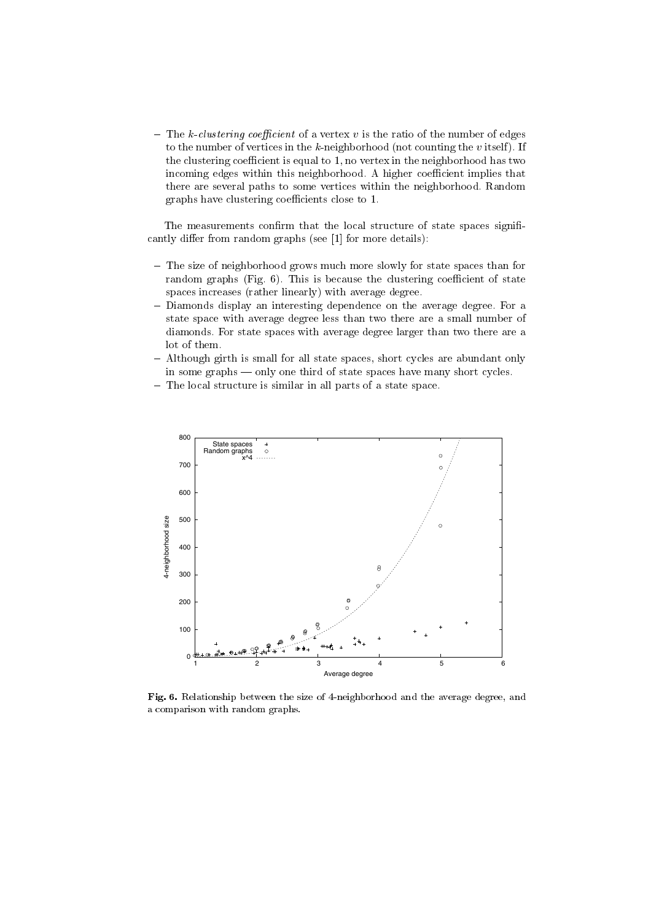The k-clustering coefficient of a vertex v is the ratio of the number of edges to the number of vertices in the  $k$ -neighborhood (not counting the v itself). If the clustering coefficient is equal to 1, no vertex in the neighborhood has two incoming edges within this neighborhood. A higher coefficient implies that there are several paths to some vertices within the neighborhood. Random graphs have clustering coefficients close to 1.

The measurements confirm that the local structure of state spaces significantly differ from random graphs (see  $[1]$  for more details):

- $\sim$  size of neighborhood grows much more spaces than for spaces than for state  $\sim$ random graphs (Fig.  $6$ ). This is because the clustering coefficient of state spaces increases (rather linearly) with average degree.
- { Diamonds display an interesting dependence on the average degree. For a state space with average degree less than two there are a small number of diamonds. For state spaces with average degree larger than two there are a lot of them.
- Although girth is small for all state spaces, short cycles are abundant only in some graphs — only one third of state spaces have many short cycles.
- { The local structure is similar in all parts of a state space.



Fig. 6. Relationship between the size of 4-neighborhood and the average degree, and a comparison with random graphs.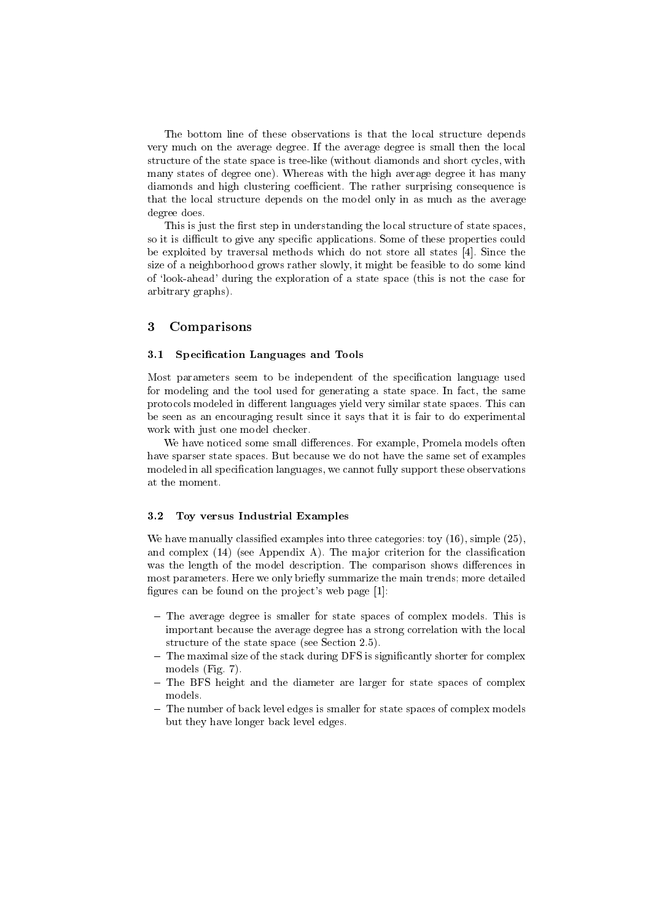The bottom line of these observations is that the local structure depends very much on the average degree. If the average degree is small then the local structure of the state space is tree-like (without diamonds and short cycles, with many states of degree one). Whereas with the high average degree it has many diamonds and high clustering coefficient. The rather surprising consequence is that the local structure depends on the model only in as much as the average degree does.

This is just the first step in understanding the local structure of state spaces, so it is difficult to give any specific applications. Some of these properties could be exploited by traversal methods which do not store all states [4]. Since the size of a neighborhood grows rather slowly, it might be feasible to do some kind of `look-ahead' during the exploration of a state space (this is not the case for arbitrary graphs).

### 3 Comparisons

#### 3.1Specification Languages and Tools

Most parameters seem to be independent of the specification language used for modeling and the tool used for generating a state space. In fact, the same protocols modeled in different languages yield very similar state spaces. This can be seen as an encouraging result since it says that it is fair to do experimental work with just one model checker.

We have noticed some small differences. For example, Promela models often have sparser state spaces. But because we do not have the same set of examples modeled in all specification languages, we cannot fully support these observations at the moment.

#### 3.2Toy versus Industrial Examples

We have manually classied examples into three categories: toy (16), simple (25), and complex  $(14)$  (see Appendix A). The major criterion for the classification was the length of the model description. The comparison shows differences in most parameters. Here we only briefly summarize the main trends; more detailed figures can be found on the project's web page  $[1]$ :

- ${\bf T}$  and average degree is smaller for state spaces of complex models. This is is in important because the average degree has a strong correlation with the local structure of the state space (see Section 2.5).
- $\sim$  maximal size of the stack during  $\sim$   $\sim$  significantly shorter for complex  $\sim$ models (Fig. 7).
- ${\bf T}$  for BFS height and the diameter are larger for state spaces of complex. models.
- ${\bf T}$  and denote the state space spaces of smaller for states of paces of complex models models but they have longer back level edges.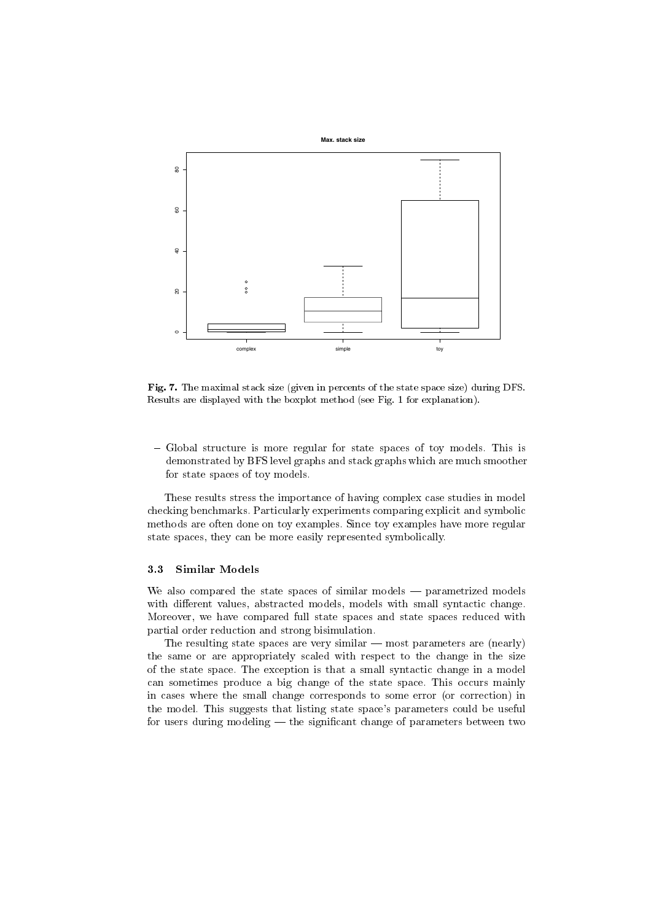

Fig. 7. The maximal stack size (given in percents of the state space size) during DFS. Results are displayed with the boxplot method (see Fig. 1 for explanation).

 ${\bf G}$  structure is more regular for state spaces of toy models. This is is in the state space of the space of the space of the space of the space of the space of the space of the space of the space of the space of the sp demonstrated by BFS level graphs and stack graphs which are much smoother for state spaces of toy models.

These results stress the importance of having complex case studies in model checking benchmarks. Particularly experiments comparing explicit and symbolic methods are often done on toy examples. Since toy examples have more regular state spaces, they can be more easily represented symbolically.

#### 3.3Similar Models

We also compared the state spaces of similar models  $-$  parametrized models with different values, abstracted models, models with small syntactic change. Moreover, we have compared full state spaces and state spaces reduced with partial order reduction and strong bisimulation.

The resulting state spaces are very similar  $-$  most parameters are (nearly) the same or are appropriately scaled with respect to the change in the size of the state space. The exception isthat a small syntactic change in a model can sometimes produce a big change of the state space. This occurs mainly in cases where the small change corresponds to some error (or correction) in the model. This suggests that listing state space's parameters could be useful for users during modeling  $-$  the significant change of parameters between two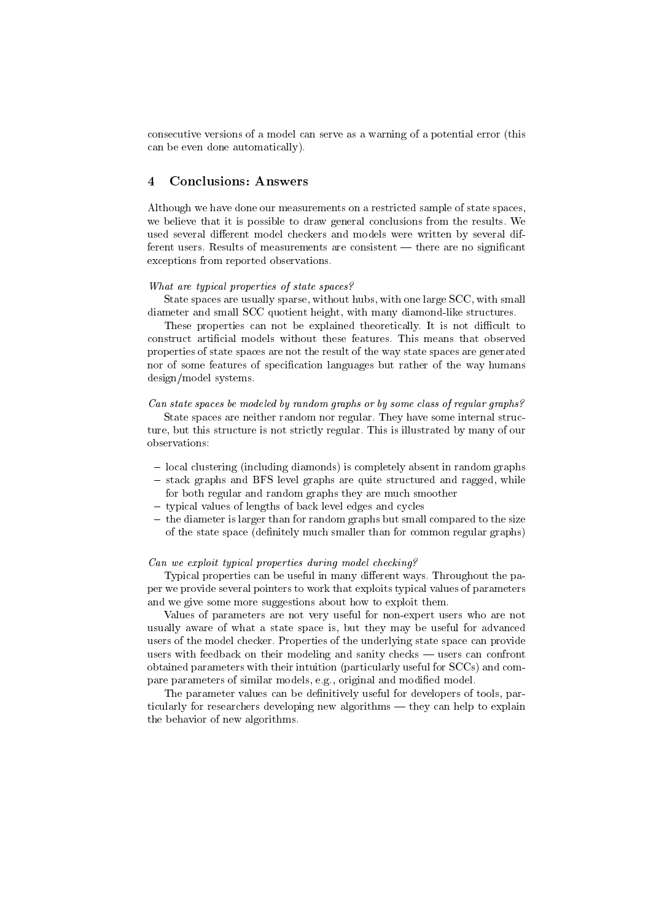consecutive versions of a model can serve as a warning of a potential error (this can be even done automatically).

#### $\overline{4}$ **Conclusions: Answers**

Although we have done our measurements on a restricted sample of state spaces, we believe that it is possible to draw general conclusions from the results. We used several different model checkers and models were written by several dif $f$  ferent users. Results of measurements are consistent — there are no significant exceptions from reported observations.

### What are typical properties of state spaces?

State spaces are usually sparse, without hubs, with one large SCC, with small diameter and small SCC quotient height, with many diamond-like structures.

These properties can not be explained theoretically. It is not difficult to construct articial models without these features. This means that observed properties of state spaces are not the result of the way state spaces are generated nor of some features of specification languages but rather of the way humans design/model systems.

## Can state spaces be modeled by random graphs or by some class of regular graphs?

State spaces are neither random nor regular. They have some internal structure, but this structure is not strictly regular. This is illustrated by many of our

- { local clustering (including diamonds) is completely absent in random graphs
- { stack graphs and BFS level graphs are quite structured and ragged, while for both regular and random graphs they are much smoother
- ${\bf v}$  , typically defined of the lengths of back level edges and cycles and cycles and cycles and cycles and cycles
- $\frac{1}{2}$  the diameter is larger than for random graphs but small compared to the size of the state space (definitely much smaller than for common regular graphs)

### Can we exploit typical properties during model checking?

Typical properties can be useful in many different ways. Throughout the paper we provide several pointers to work that exploits typical values of parameters and we give some more suggestions about how to exploit them.

Values of parameters are not very useful for non-expert users who are not usually aware of what a state space is, but they may be useful for advanced users of the model checker. Properties of the underlying state space can provide users with feedback on their modeling and sanity checks  $-$  users can confront obtained parameters with their intuition (particularly useful for SCCs) and compare parameters of similar models, e.g., original and modified model.

The parameter values can be definitively useful for developers of tools, particularly for researchers developing new algorithms  $-$  they can help to explain the behavior of new algorithms.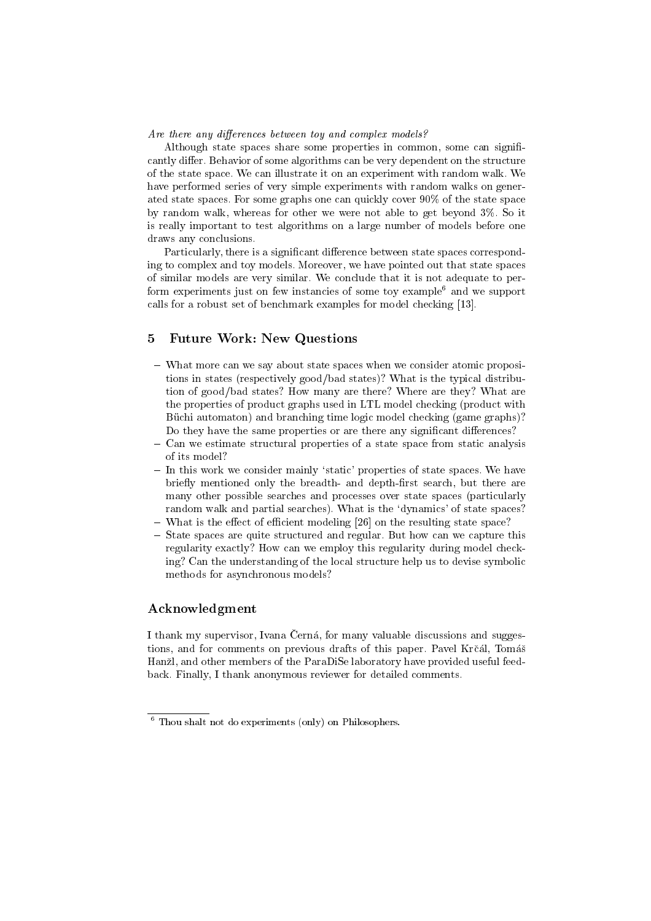### Are there any differences between toy and complex models?

Although state spaces share some properties in common, some can significantly differ. Behavior of some algorithms can be very dependent on the structure of the state space. We can illustrate it on an experiment with random walk. We have performed series of very simple experiments with random walks on generated state spaces. For some graphs one can quickly cover 90% of the state space by random walk, whereas for other we were not able to get beyond 3%.So it is really important to test algorithms on a large number of models before one draws any conclusions.

Particularly, there is a significant difference between state spaces corresponding to complex and toy models. Moreover, we have pointed out that state spaces of similar models are very similar. We conclude that it is not adequate to perform experiments just on few instancies of some toy example<sup>6</sup> and we support calls for a robust set of benchmark examples for model checking [13].

# 5 Future Work: New Questions

- { What more can we say about state spaces when we consider atomic propositions in states (respectively good/bad states)? What is the typical distribution of good/bad states? How many are there? Where are they? What are the properties of product graphs used in LTL model checking (product with Büchi automaton) and branching time logic model checking (game graphs)? Do they have the same properties or are there any significant differences?
- Can we estimate structural properties of a state space from static analysis of its model?
- ${\sf -}$  In this work we consider mainly 'static' properties of state spaces. We have briefly mentioned only the breadth- and depth-first search, but there are many other possible searches and processes over state spaces (particularly random walk and partial searches). What is the `dynamics' of state spaces?
- ${\bf x}$  , the extra distribution model is the state  ${\bf x}$  and the resulting state space?
- ${\bf s}$  state spaces are quite structured and regular. But how can we can we can we can we can we can we can we regularity exactly? How can we employ this regularity during model checking? Can the understanding of the local structure help us to devise symbolic methods for asynchronous models?

# Acknowledgment

I thank my supervisor, Ivana Cerna, for many valuable discussions and suggestions, and for comments on previous drafts of this paper. Pavel Krčál, Tomáš Hanzl, and other members of the ParaDiSe laboratory have provided useful feedback. Finally, I thank anonymous reviewer for detailed comments.

Thou shalt not do experiments (only) on Philosophers.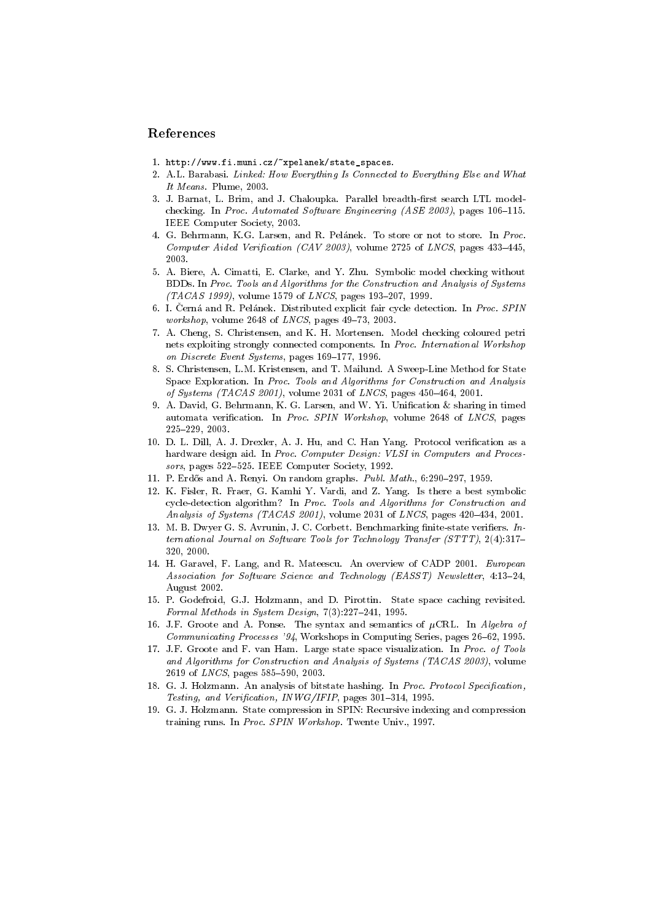# References

- 1. http://www.fi.muni.cz/~xpelanek/state\_spaces.
- 2. A.L. Barabasi. Linked: How Everything Is Connected to Everything Else and What It Means. Plume, 2003.
- 3. J. Barnat, L. Brim, and J. Chaloupka. Parallel breadth-rst search LTL model checking. In Proc. Automated Software Engineering (ASE 2003), pages  $106-115$ . IEEE Computer Society, 2003.
- 4. G. Behrmann, K.G. Larsen, and R. Pelanek. To store or not to store. In Proc. Computer Aided Verification (CAV 2003), volume 2725 of LNCS, pages 433-445, 2003.
- 5. A. Biere, A. Cimatti, E. Clarke, and Y. Zhu. Symbolic model checking without BDDs. In Proc. Tools and Algorithms for the Construction and Analysis of Systems  $(TACAS 1999)$ , volume 1579 of  $LNCS$ , pages 193-207, 1999.
- $\sigma$ . I. Cerna and R. Felanck. Distributed explicit fair cycle detection. In Froc. SFIN workshop, volume 2648 of  $LNCS$ , pages 49-73, 2003.
- 7. A. Cheng, S. Christensen, and K. H. Mortensen. Model checking coloured petri nets exploiting strongly connected components. In Proc. International Workshop on Discrete Event Systems, pages  $169-177$ , 1996.
- 8. S. Christensen, L.M. Kristensen, and T. Mailund. A Sweep-Line Method for State Space Exploration. In Proc. Tools and Algorithms for Construction and Analysis of Systems (TACAS 2001), volume 2031 of LNCS, pages 450-464, 2001.
- 9. A. David, G. Behrmann, K. G. Larsen, and W. Yi. Unication & sharing in timed automata verification. In Proc. SPIN Workshop, volume 2648 of LNCS, pages 225{229, 2003.
- 10. D. L. Dill, A. J. Drexler, A. J. Hu, and C. Han Yang. Protocol verication as a hardware design aid. In Proc. Computer Design: VLSI in Computers and Processors, pages 522-525. IEEE Computer Society, 1992.
- 11. P. Erdős and A. Renyi. On random graphs.  $Publ. Math.$ , 6:290-297, 1959.
- 12. K. Fisler, R. Fraer, G. Kamhi Y. Vardi, and Z. Yang. Is there a best symbolic cycle-detection algorithm? In Proc. Tools and Algorithms for Construction and Analysis of Systems (TACAS 2001), volume 2031 of LNCS, pages  $420-434$ , 2001.
- 13. M. B. Dwyer G. S. Avrunin, J. C. Corbett. Benchmarking finite-state verifiers. International Journal on Software Tools for Technology Transfer (STTT), 2(4):317{  $320.2000.$  $3-9$ ,  $2-9$
- 14. H. Garavel, F. Lang, and R. Mateescu. An overview of CADP 2001. European Association for Software Science and Technology (EASST) Newsletter, 4:13-24, August 2002.
- 15. P. Godefroid, G.J. Holzmann, and D. Pirottin. State space caching revisited. Formal Methods in System Design,  $7(3):227{-}241$ , 1995.
- 16. J.F. Groote and A. Ponse. The syntax and semantics of  $\mu$ CRL. In Algebra of *Communicating Processes*  $'94$ , Workshops in Computing Series, pages 26-62, 1995.
- 17. J.F. Groote and F. van Ham. Large state space visualization. In Proc. of Tools and Algorithms for Construction and Analysis of Systems (TACAS 2003), volume 2619 of  $LNCS$ , pages 585-590, 2003.
- 18. G. J. Holzmann. An analysis of bitstate hashing. In Proc. Protocol Specification, Testing, and Verification,  $INWG/IFIP$ , pages 301-314, 1995.
- 19. G. J. Holzmann. State compression in SPIN: Recursive indexing and compression training runs. In Proc. SPIN Workshop. Twente Univ., 1997.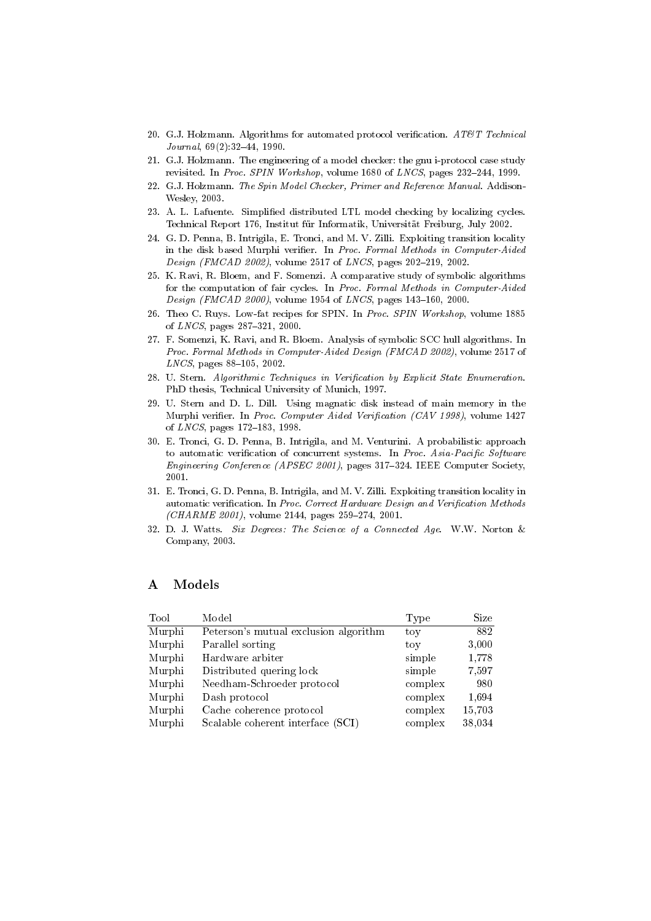- 20. G.J. Holzmann. Algorithms for automated protocol verification. AT&T Technical Journal,  $69(2):32-44, 1990.$
- 21. G.J. Holzmann. The engineering of a model checker: the gnu i-protocol case study revisited. In Proc. SPIN Workshop, volume 1680 of LNCS, pages 232-244, 1999.
- 22. G.J. Holzmann. The Spin Model Checker, Primer and Reference Manual. Addison-Wesley, 2003.
- 23. A. L. Lafuente. Simplied distributed LTL model checking by localizing cycles. Technical Report 176, Institut fur Informatik, Universitat Freiburg, July 2002.
- 24. G. D. Penna, B. Intrigila, E. Tronci, and M. V. Zilli. Exploiting transition locality in the disk based Murphi verifier. In Proc. Formal Methods in Computer-Aided *Design (FMCAD 2002)*, volume 2517 of *LNCS*, pages 202-219, 2002.
- 25. K. Ravi, R. Bloem, and F. Somenzi. A comparative study of symbolic algorithms for the computation of fair cycles. In Proc. Formal Methods in Computer-Aided *Design (FMCAD 2000)*, volume 1954 of  $LNCS$ , pages 143-160, 2000.
- 26. Theo C. Ruys. Low-fat recipes for SPIN. In Proc. SPIN Workshop, volume 1885 of  $LNCS$ , pages 287-321, 2000.
- 27. F. Somenzi, K. Ravi, and R. Bloem. Analysis of symbolic SCC hull algorithms. In Proc. Formal Methods in Computer-Aided Design (FMCAD 2002), volume 2517 of  $LNCS$ , pages 88-105, 2002.
- 28. U. Stern. Algorithmic Techniques in Verification by Explicit State Enumeration. PhD thesis, Technical University of Munich, 1997.
- 29. U. Stern and D. L. Dill. Using magnatic disk instead of main memory in the Murphi verifier. In Proc. Computer Aided Verification (CAV 1998), volume 1427 of  $LNCS$ , pages 172-183, 1998.
- 30. E. Tronci, G. D. Penna, B. Intrigila, and M. Venturini. A probabilistic approach to automatic verification of concurrent systems. In Proc. Asia-Pacific Software Engineering Conference (APSEC 2001), pages 317-324. IEEE Computer Society, 2001.
- 31. E. Tronci, G. D. Penna, B. Intrigila, and M. V. Zilli. Exploiting transition locality in automatic verification. In Proc. Correct Hardware Design and Verification Methods  $(CHARME 2001)$ , volume 2144, pages 259-274, 2001.
- 32. D. J. Watts. Six Degrees: The Science of a Connected Age. W.W. Norton & Company, 2003.

#### $\mathbf{A}$ **Models**

| Tool   | Model                                 | Type    | Size   |
|--------|---------------------------------------|---------|--------|
| Murphi | Peterson's mutual exclusion algorithm | toy     | 882    |
| Murphi | Parallel sorting                      | toy     | 3,000  |
| Murphi | Hardware arbiter                      | simple  | 1,778  |
| Murphi | Distributed quering lock              | simple  | 7,597  |
| Murphi | Needham-Schroeder protocol            | complex | 980    |
| Murphi | Dash protocol                         | complex | 1,694  |
| Murphi | Cache coherence protocol              | complex | 15,703 |
| Murphi | Scalable coherent interface (SCI)     | complex | 38,034 |